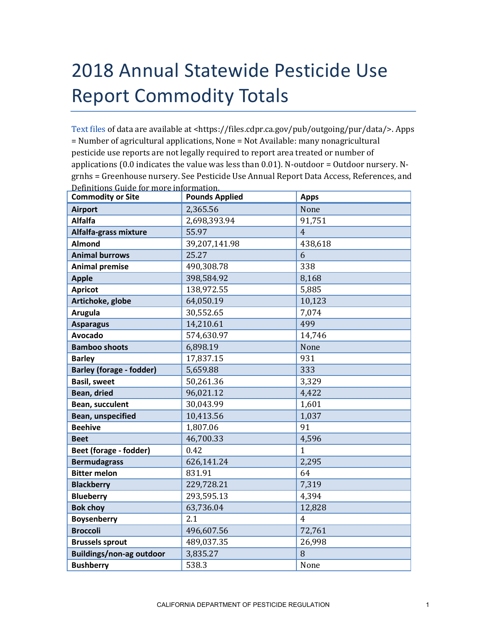## 2018 Annual Statewide Pesticide Use Report Commodity Totals

[Text files](https://files.cdpr.ca.gov/pub/outgoing/pur/data/) of data are available at <https://files.cdpr.ca.gov/pub/outgoing/pur/data/>. Apps = Number of agricultural applications, None = Not Available: many nonagricultural pesticide use reports are not legally required to report area treated or number of applications (0.0 indicates the value was less than 0.01). N-outdoor = Outdoor nursery. Ngrnhs = Greenhouse nursery. See Pesticide Use Annual Report Data Access, References, and Definitions Guide for more information.

| <b>Commodity or Site</b>        | <b>Pounds Applied</b> | <b>Apps</b>    |
|---------------------------------|-----------------------|----------------|
| <b>Airport</b>                  | 2,365.56              | None           |
| <b>Alfalfa</b>                  | 2,698,393.94          | 91,751         |
| Alfalfa-grass mixture           | 55.97                 | $\overline{4}$ |
| <b>Almond</b>                   | 39,207,141.98         | 438,618        |
| <b>Animal burrows</b>           | 25.27                 | 6              |
| <b>Animal premise</b>           | 490,308.78            | 338            |
| <b>Apple</b>                    | 398,584.92            | 8,168          |
| <b>Apricot</b>                  | 138,972.55            | 5,885          |
| Artichoke, globe                | 64,050.19             | 10,123         |
| <b>Arugula</b>                  | 30,552.65             | 7,074          |
| <b>Asparagus</b>                | 14,210.61             | 499            |
| <b>Avocado</b>                  | 574,630.97            | 14,746         |
| <b>Bamboo shoots</b>            | 6,898.19              | None           |
| <b>Barley</b>                   | 17,837.15             | 931            |
| <b>Barley (forage - fodder)</b> | 5,659.88              | 333            |
| <b>Basil, sweet</b>             | 50,261.36             | 3,329          |
| Bean, dried                     | 96,021.12             | 4,422          |
| Bean, succulent                 | 30,043.99             | 1,601          |
| Bean, unspecified               | 10,413.56             | 1,037          |
| <b>Beehive</b>                  | 1,807.06              | 91             |
| <b>Beet</b>                     | 46,700.33             | 4,596          |
| Beet (forage - fodder)          | 0.42                  | $\mathbf{1}$   |
| <b>Bermudagrass</b>             | 626,141.24            | 2,295          |
| <b>Bitter melon</b>             | 831.91                | 64             |
| <b>Blackberry</b>               | 229,728.21            | 7,319          |
| <b>Blueberry</b>                | 293,595.13            | 4,394          |
| <b>Bok choy</b>                 | 63,736.04             | 12,828         |
| <b>Boysenberry</b>              | 2.1                   | $\overline{4}$ |
| <b>Broccoli</b>                 | 496,607.56            | 72,761         |
| <b>Brussels sprout</b>          | 489,037.35            | 26,998         |
| <b>Buildings/non-ag outdoor</b> | 3,835.27              | 8              |
| <b>Bushberry</b>                | 538.3                 | None           |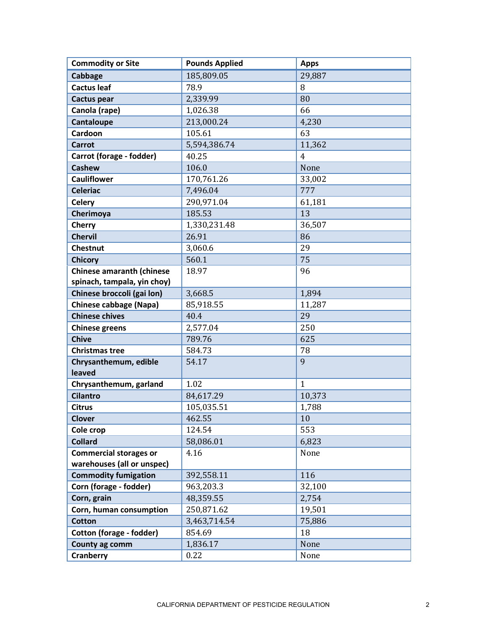| <b>Commodity or Site</b>         | <b>Pounds Applied</b> | <b>Apps</b>    |
|----------------------------------|-----------------------|----------------|
| Cabbage                          | 185,809.05            | 29,887         |
| <b>Cactus leaf</b>               | 78.9                  | 8              |
| Cactus pear                      | 2,339.99              | 80             |
| Canola (rape)                    | 1,026.38              | 66             |
| Cantaloupe                       | 213,000.24            | 4,230          |
| Cardoon                          | 105.61                | 63             |
| <b>Carrot</b>                    | 5,594,386.74          | 11,362         |
| Carrot (forage - fodder)         | 40.25                 | $\overline{4}$ |
| <b>Cashew</b>                    | 106.0                 | None           |
| <b>Cauliflower</b>               | 170,761.26            | 33,002         |
| <b>Celeriac</b>                  | 7,496.04              | 777            |
| <b>Celery</b>                    | 290,971.04            | 61,181         |
| Cherimoya                        | 185.53                | 13             |
| <b>Cherry</b>                    | 1,330,231.48          | 36,507         |
| <b>Chervil</b>                   | 26.91                 | 86             |
| <b>Chestnut</b>                  | 3,060.6               | 29             |
| <b>Chicory</b>                   | 560.1                 | 75             |
| <b>Chinese amaranth (chinese</b> | 18.97                 | 96             |
| spinach, tampala, yin choy)      |                       |                |
| Chinese broccoli (gai lon)       | 3,668.5               | 1,894          |
| <b>Chinese cabbage (Napa)</b>    | 85,918.55             | 11,287         |
| <b>Chinese chives</b>            | 40.4                  | 29             |
| <b>Chinese greens</b>            | 2,577.04              | 250            |
| <b>Chive</b>                     | 789.76                | 625            |
| <b>Christmas tree</b>            | 584.73                | 78             |
| Chrysanthemum, edible<br>leaved  | 54.17                 | 9              |
| Chrysanthemum, garland           | 1.02                  | $\mathbf{1}$   |
| <b>Cilantro</b>                  | 84,617.29             | 10,373         |
| <b>Citrus</b>                    | 105,035.51            | 1,788          |
| <b>Clover</b>                    | 462.55                | 10             |
| Cole crop                        | 124.54                | 553            |
| <b>Collard</b>                   | 58,086.01             | 6,823          |
| <b>Commercial storages or</b>    | 4.16                  | None           |
| warehouses (all or unspec)       |                       |                |
| <b>Commodity fumigation</b>      | 392,558.11            | 116            |
| Corn (forage - fodder)           | 963,203.3             | 32,100         |
| Corn, grain                      | 48,359.55             | 2,754          |
| Corn, human consumption          | 250,871.62            | 19,501         |
| <b>Cotton</b>                    | 3,463,714.54          | 75,886         |
| Cotton (forage - fodder)         | 854.69                | 18             |
| County ag comm                   | 1,836.17              | None           |
| <b>Cranberry</b>                 | 0.22                  | None           |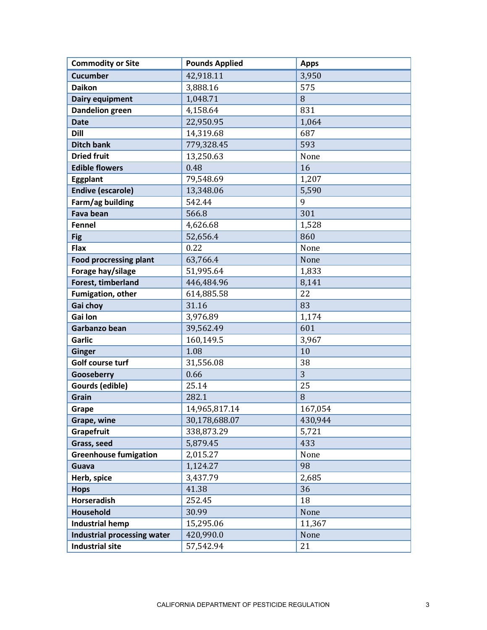| <b>Commodity or Site</b>           | <b>Pounds Applied</b> | <b>Apps</b> |
|------------------------------------|-----------------------|-------------|
| <b>Cucumber</b>                    | 42,918.11             | 3,950       |
| <b>Daikon</b>                      | 3,888.16              | 575         |
| Dairy equipment                    | 1,048.71              | 8           |
| <b>Dandelion green</b>             | 4,158.64              | 831         |
| <b>Date</b>                        | 22,950.95             | 1,064       |
| <b>Dill</b>                        | 14,319.68             | 687         |
| <b>Ditch bank</b>                  | 779,328.45            | 593         |
| <b>Dried fruit</b>                 | 13,250.63             | None        |
| <b>Edible flowers</b>              | 0.48                  | 16          |
| Eggplant                           | 79,548.69             | 1,207       |
| <b>Endive (escarole)</b>           | 13,348.06             | 5,590       |
| Farm/ag building                   | 542.44                | 9           |
| <b>Fava bean</b>                   | 566.8                 | 301         |
| <b>Fennel</b>                      | 4,626.68              | 1,528       |
| <b>Fig</b>                         | 52,656.4              | 860         |
| Flax                               | 0.22                  | None        |
| <b>Food procressing plant</b>      | 63,766.4              | None        |
| Forage hay/silage                  | 51,995.64             | 1,833       |
| Forest, timberland                 | 446,484.96            | 8,141       |
| Fumigation, other                  | 614,885.58            | 22          |
| Gai choy                           | 31.16                 | 83          |
| Gai lon                            | 3,976.89              | 1,174       |
| Garbanzo bean                      | 39,562.49             | 601         |
| <b>Garlic</b>                      | 160,149.5             | 3,967       |
| <b>Ginger</b>                      | 1.08                  | 10          |
| Golf course turf                   | 31,556.08             | 38          |
| Gooseberry                         | 0.66                  | 3           |
| Gourds (edible)                    | 25.14                 | 25          |
| Grain                              | 282.1                 | 8           |
| Grape                              | 14,965,817.14         | 167,054     |
| Grape, wine                        | 30,178,688.07         | 430,944     |
| Grapefruit                         | 338,873.29            | 5,721       |
| Grass, seed                        | 5,879.45              | 433         |
| <b>Greenhouse fumigation</b>       | 2,015.27              | None        |
| Guava                              | 1,124.27              | 98          |
| Herb, spice                        | 3,437.79              | 2,685       |
| <b>Hops</b>                        | 41.38                 | 36          |
| <b>Horseradish</b>                 | 252.45                | 18          |
| Household                          | 30.99                 | None        |
| <b>Industrial hemp</b>             | 15,295.06             | 11,367      |
| <b>Industrial processing water</b> | 420,990.0             | None        |
| <b>Industrial site</b>             | 57,542.94             | 21          |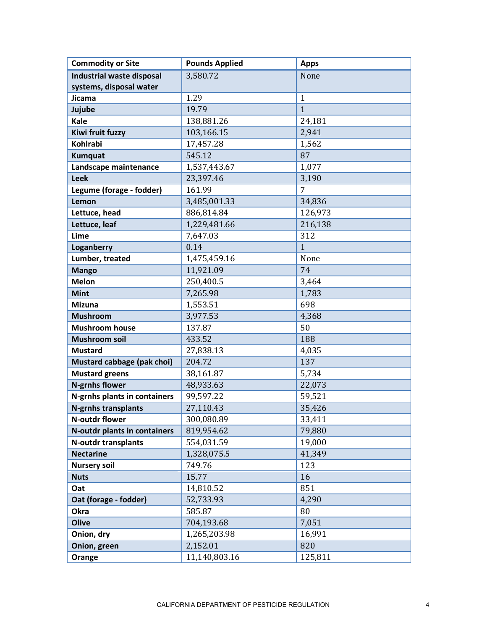| <b>Commodity or Site</b>         | <b>Pounds Applied</b> | <b>Apps</b>    |
|----------------------------------|-----------------------|----------------|
| <b>Industrial waste disposal</b> | 3,580.72              | None           |
| systems, disposal water          |                       |                |
| Jicama                           | 1.29                  | $\mathbf{1}$   |
| Jujube                           | 19.79                 | $\overline{1}$ |
| Kale                             | 138,881.26            | 24,181         |
| Kiwi fruit fuzzy                 | 103,166.15            | 2,941          |
| <b>Kohlrabi</b>                  | 17,457.28             | 1,562          |
| <b>Kumquat</b>                   | 545.12                | 87             |
| Landscape maintenance            | 1,537,443.67          | 1,077          |
| <b>Leek</b>                      | 23,397.46             | 3,190          |
| Legume (forage - fodder)         | 161.99                | 7              |
| Lemon                            | 3,485,001.33          | 34,836         |
| Lettuce, head                    | 886,814.84            | 126,973        |
| Lettuce, leaf                    | 1,229,481.66          | 216,138        |
| Lime                             | 7,647.03              | 312            |
| Loganberry                       | 0.14                  | $\overline{1}$ |
| Lumber, treated                  | 1,475,459.16          | None           |
| <b>Mango</b>                     | 11,921.09             | 74             |
| <b>Melon</b>                     | 250,400.5             | 3,464          |
| <b>Mint</b>                      | 7,265.98              | 1,783          |
| <b>Mizuna</b>                    | 1,553.51              | 698            |
| <b>Mushroom</b>                  | 3,977.53              | 4,368          |
| <b>Mushroom house</b>            | 137.87                | 50             |
| <b>Mushroom soil</b>             | 433.52                | 188            |
| <b>Mustard</b>                   | 27,838.13             | 4,035          |
| Mustard cabbage (pak choi)       | 204.72                | 137            |
| <b>Mustard greens</b>            | 38,161.87             | 5,734          |
| <b>N-grnhs flower</b>            | 48,933.63             | 22,073         |
| N-grnhs plants in containers     | 99,597.22             | 59,521         |
| <b>N-grnhs transplants</b>       | 27,110.43             | 35,426         |
| N-outdr flower                   | 300,080.89            | 33,411         |
| N-outdr plants in containers     | 819,954.62            | 79,880         |
| <b>N-outdr transplants</b>       | 554,031.59            | 19,000         |
| <b>Nectarine</b>                 | 1,328,075.5           | 41,349         |
| <b>Nursery soil</b>              | 749.76                | 123            |
| <b>Nuts</b>                      | 15.77                 | 16             |
| Oat                              | 14,810.52             | 851            |
| Oat (forage - fodder)            | 52,733.93             | 4,290          |
| Okra                             | 585.87                | 80             |
| <b>Olive</b>                     | 704,193.68            | 7,051          |
| Onion, dry                       | 1,265,203.98          | 16,991         |
| Onion, green                     | 2,152.01              | 820            |
| Orange                           | 11,140,803.16         | 125,811        |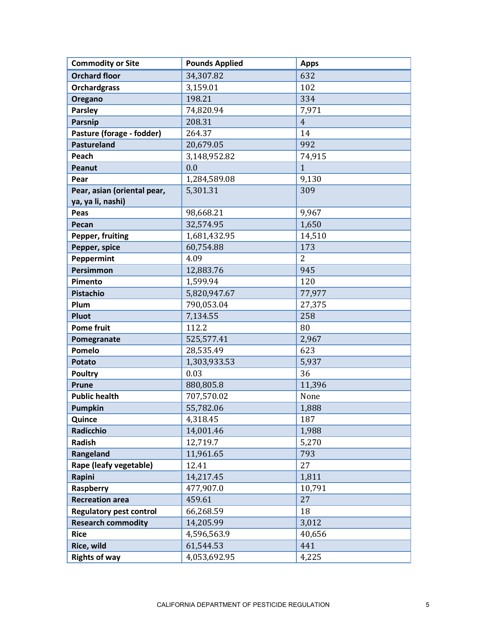| <b>Commodity or Site</b>       | <b>Pounds Applied</b> | <b>Apps</b>    |
|--------------------------------|-----------------------|----------------|
| <b>Orchard floor</b>           | 34,307.82             | 632            |
| <b>Orchardgrass</b>            | 3,159.01              | 102            |
| Oregano                        | 198.21                | 334            |
| <b>Parsley</b>                 | 74,820.94             | 7,971          |
| Parsnip                        | 208.31                | $\overline{4}$ |
| Pasture (forage - fodder)      | 264.37                | 14             |
| <b>Pastureland</b>             | 20,679.05             | 992            |
| Peach                          | 3,148,952.82          | 74,915         |
| Peanut                         | 0.0                   | $\mathbf{1}$   |
| Pear                           | 1,284,589.08          | 9,130          |
| Pear, asian (oriental pear,    | 5,301.31              | 309            |
| ya, ya li, nashi)              |                       |                |
| Peas                           | 98,668.21             | 9,967          |
| Pecan                          | 32,574.95             | 1,650          |
| Pepper, fruiting               | 1,681,432.95          | 14,510         |
| Pepper, spice                  | 60,754.88             | 173            |
| Peppermint                     | 4.09                  | $\overline{2}$ |
| Persimmon                      | 12,883.76             | 945            |
| Pimento                        | 1,599.94              | 120            |
| <b>Pistachio</b>               | 5,820,947.67          | 77,977         |
| Plum                           | 790,053.04            | 27,375         |
| Pluot                          | 7,134.55              | 258            |
| <b>Pome fruit</b>              | 112.2                 | 80             |
| Pomegranate                    | 525,577.41            | 2,967          |
| Pomelo                         | 28,535.49             | 623            |
| <b>Potato</b>                  | 1,303,933.53          | 5,937          |
| <b>Poultry</b>                 | 0.03                  | 36             |
| <b>Prune</b>                   | 880,805.8             | 11,396         |
| <b>Public health</b>           | 707,570.02            | None           |
| <b>Pumpkin</b>                 | 55,782.06             | 1,888          |
| Quince                         | 4,318.45              | 187            |
| Radicchio                      | 14,001.46             | 1,988          |
| Radish                         | 12,719.7              | 5,270          |
| Rangeland                      | 11,961.65             | 793            |
| Rape (leafy vegetable)         | 12.41                 | 27             |
| Rapini                         | 14,217.45             | 1,811          |
| Raspberry                      | 477,907.0             | 10,791         |
| <b>Recreation area</b>         | 459.61                | 27             |
| <b>Regulatory pest control</b> | 66,268.59             | 18             |
| <b>Research commodity</b>      | 14,205.99             | 3,012          |
| <b>Rice</b>                    | 4,596,563.9           | 40,656         |
| Rice, wild                     | 61,544.53             | 441            |
| <b>Rights of way</b>           | 4,053,692.95          | 4,225          |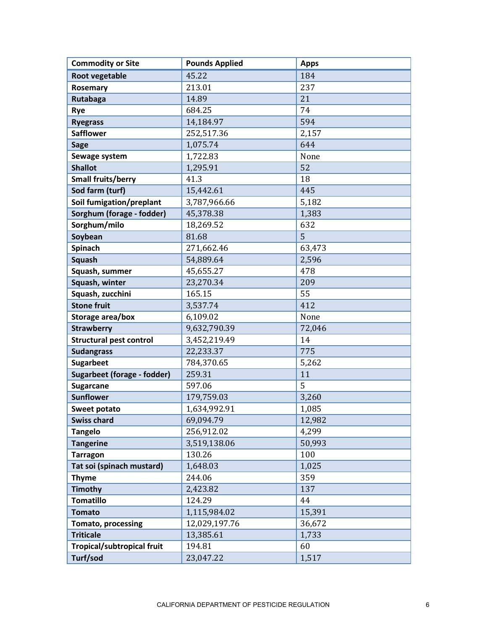| <b>Commodity or Site</b>           | <b>Pounds Applied</b> | <b>Apps</b> |
|------------------------------------|-----------------------|-------------|
| <b>Root vegetable</b>              | 45.22                 | 184         |
| Rosemary                           | 213.01                | 237         |
| Rutabaga                           | 14.89                 | 21          |
| Rye                                | 684.25                | 74          |
| <b>Ryegrass</b>                    | 14,184.97             | 594         |
| <b>Safflower</b>                   | 252,517.36            | 2,157       |
| <b>Sage</b>                        | 1,075.74              | 644         |
| Sewage system                      | 1,722.83              | None        |
| <b>Shallot</b>                     | 1,295.91              | 52          |
| Small fruits/berry                 | 41.3                  | 18          |
| Sod farm (turf)                    | 15,442.61             | 445         |
| Soil fumigation/preplant           | 3,787,966.66          | 5,182       |
| Sorghum (forage - fodder)          | 45,378.38             | 1,383       |
| Sorghum/milo                       | 18,269.52             | 632         |
| Soybean                            | 81.68                 | 5           |
| Spinach                            | 271,662.46            | 63,473      |
| <b>Squash</b>                      | 54,889.64             | 2,596       |
| Squash, summer                     | 45,655.27             | 478         |
| Squash, winter                     | 23,270.34             | 209         |
| Squash, zucchini                   | 165.15                | 55          |
| <b>Stone fruit</b>                 | 3,537.74              | 412         |
| Storage area/box                   | 6,109.02              | None        |
| <b>Strawberry</b>                  | 9,632,790.39          | 72,046      |
| <b>Structural pest control</b>     | 3,452,219.49          | 14          |
| <b>Sudangrass</b>                  | 22,233.37             | 775         |
| <b>Sugarbeet</b>                   | 784,370.65            | 5,262       |
| <b>Sugarbeet (forage - fodder)</b> | 259.31                | 11          |
| <b>Sugarcane</b>                   | 597.06                | 5           |
| <b>Sunflower</b>                   | 179,759.03            | 3,260       |
| Sweet potato                       | 1,634,992.91          | 1,085       |
| <b>Swiss chard</b>                 | 69,094.79             | 12,982      |
| <b>Tangelo</b>                     | 256,912.02            | 4,299       |
| <b>Tangerine</b>                   | 3,519,138.06          | 50,993      |
| <b>Tarragon</b>                    | 130.26                | 100         |
| Tat soi (spinach mustard)          | 1,648.03              | 1,025       |
| <b>Thyme</b>                       | 244.06                | 359         |
| <b>Timothy</b>                     | 2,423.82              | 137         |
| <b>Tomatillo</b>                   | 124.29                | 44          |
| <b>Tomato</b>                      | 1,115,984.02          | 15,391      |
| <b>Tomato, processing</b>          | 12,029,197.76         | 36,672      |
| <b>Triticale</b>                   | 13,385.61             | 1,733       |
| <b>Tropical/subtropical fruit</b>  | 194.81                | 60          |
| Turf/sod                           | 23,047.22             | 1,517       |